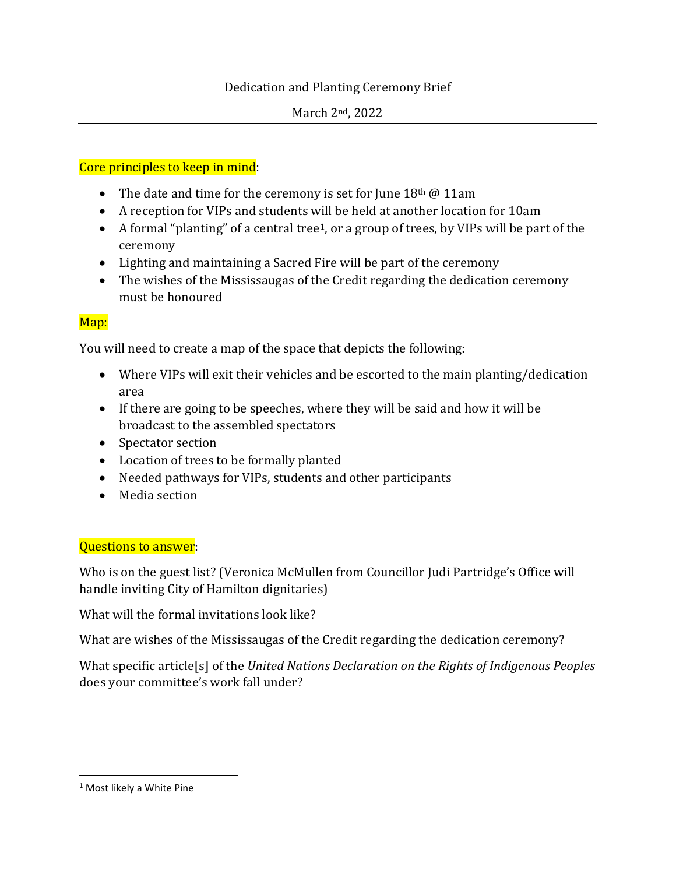# Dedication and Planting Ceremony Brief

#### March 2nd, 2022

## Core principles to keep in mind:

- The date and time for the ceremony is set for June  $18<sup>th</sup>$  @ 11am
- A reception for VIPs and students will be held at another location for 10am
- A formal "planting" of a central tree<sup>[1](#page-0-0)</sup>, or a group of trees, by VIPs will be part of the ceremony
- Lighting and maintaining a Sacred Fire will be part of the ceremony
- The wishes of the Mississaugas of the Credit regarding the dedication ceremony must be honoured

# Map:

You will need to create a map of the space that depicts the following:

- Where VIPs will exit their vehicles and be escorted to the main planting/dedication area
- If there are going to be speeches, where they will be said and how it will be broadcast to the assembled spectators
- Spectator section
- Location of trees to be formally planted
- Needed pathways for VIPs, students and other participants
- Media section

### Questions to answer:

Who is on the guest list? (Veronica McMullen from Councillor Judi Partridge's Office will handle inviting City of Hamilton dignitaries)

What will the formal invitations look like?

What are wishes of the Mississaugas of the Credit regarding the dedication ceremony?

What specific article[s] of the *United Nations Declaration on the Rights of Indigenous Peoples* does your committee's work fall under?

<span id="page-0-0"></span><sup>&</sup>lt;sup>1</sup> Most likely a White Pine